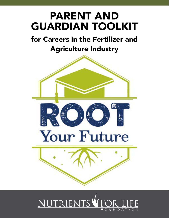# PARENT AND GUARDIAN TOOLKIT

## for Careers in the Fertilizer and Agriculture Industry



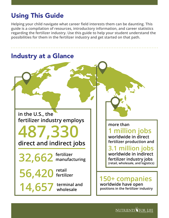#### Using This Guide

**Helping your child navigate what career field interests them can be daunting. This guide is a compilation of resources, introductory information, and career statistics regarding the fertilizer industry. Use this guide to help your student understand the possibilities for them in the fertilizer industry and get started on that path.**



**NUTRIENTS FOR**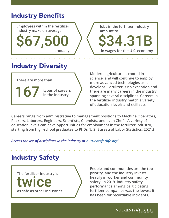#### Industry Benefits

**Employees within the fertilizer industry make on average**

**\$67,50 annually** **Jobs in the fertilizer industry amount to**

**in wages for the U.S. economy**

\$34.31B

### Industry Diversity

**There are more than**

167 **types of careers in the industry**

**Modern agriculture is rooted in science, and will continue to employ more advanced technologies as it develops. Fertilizer is no exception and there are many careers in the industry spanning several disciplines. Careers in the fertilizer industry match a variety of education levels and skill sets.**

**Careers range from administrative to management positions to Machine Operators, Packers, Laborers, Engineers, Scientists, Chemists, and even Chefs! A variety of education levels can have opportunities for employment in the fertilizer industry, starting from high-school graduates to PhDs (U.S. Bureau of Labor Statistics, 2021.)**

*Access the list of disciplines in the industry at [nutrientsforlife.org!](http://nutrientsforlife.org)*

#### Industry Safety

**The fertilizer industry is**

**MICE as safe as other industries**

**People and communities are the top priority, and the industry invests heavily in worker and community safety. In 2019, industry safety performance among participating fertilizer companies was the lowest it has been for recordable incidents.**